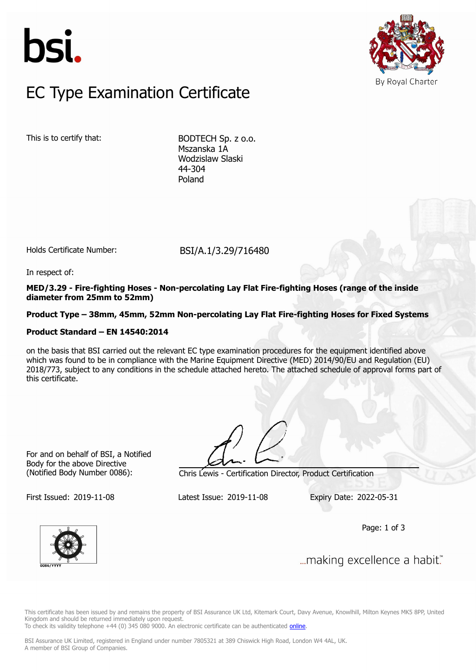



## $FC$  Type Examination Certific EC Type Examination Certificate

This is to certify that: BODTECH Sp. z o.o.

Mszanska 1A Wodzislaw Slaski 44-304 Poland

Holds Certificate Number: BSI/A.1/3.29/716480

In respect of:

**MED/3.29 - Fire-fighting Hoses - Non-percolating Lay Flat Fire-fighting Hoses (range of the inside diameter from 25mm to 52mm)**

**Product Type – 38mm, 45mm, 52mm Non-percolating Lay Flat Fire-fighting Hoses for Fixed Systems**

#### **Product Standard – EN 14540:2014**

on the basis that BSI carried out the relevant EC type examination procedures for the equipment identified above which was found to be in compliance with the Marine Equipment Directive (MED) 2014/90/EU and Regulation (EU) 2018/773, subject to any conditions in the schedule attached hereto. The attached schedule of approval forms part of this certificate.

For and on behalf of BSI, a Notified Body for the above Directive

(Notified Body Number 0086): Chris Lewis - Certification Director, Product Certification

First Issued: 2019-11-08 Latest Issue: 2019-11-08 Expiry Date: 2022-05-31

Page: 1 of 3



... making excellence a habit."

This certificate has been issued by and remains the property of BSI Assurance UK Ltd, Kitemark Court, Davy Avenue, Knowlhill, Milton Keynes MK5 8PP, United Kingdom and should be returned immediately upon request.

To check its validity telephone +44 (0) 345 080 9000. An electronic certificate can be authenticated *[online](https://pgplus.bsigroup.com/CertificateValidation/CertificateValidator.aspx?CertificateNumber=BSI%2fA.1%2f3.29%2f716480&ReIssueDate=08%2f11%2f2019&Template=uk)*.

BSI Assurance UK Limited, registered in England under number 7805321 at 389 Chiswick High Road, London W4 4AL, UK. A member of BSI Group of Companies.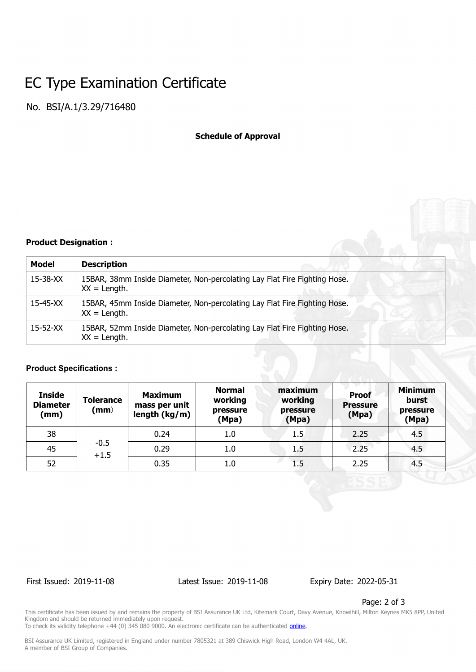## EC Type Examination Certificate

No. BSI/A.1/3.29/716480

#### **Schedule of Approval**

#### **Product Designation :**

| Model          | <b>Description</b>                                                                           |  |  |  |
|----------------|----------------------------------------------------------------------------------------------|--|--|--|
| $15 - 38 - XX$ | 15BAR, 38mm Inside Diameter, Non-percolating Lay Flat Fire Fighting Hose.<br>$XX = Length$ . |  |  |  |
| $15-45-XX$     | 15BAR, 45mm Inside Diameter, Non-percolating Lay Flat Fire Fighting Hose.<br>$XX = Length$ . |  |  |  |
| $15 - 52 - XX$ | 15BAR, 52mm Inside Diameter, Non-percolating Lay Flat Fire Fighting Hose.<br>$XX = Length$ . |  |  |  |

#### **Product Specifications :**

| <b>Inside</b><br><b>Diameter</b><br>(mm) | <b>Tolerance</b><br>(mm) | <b>Maximum</b><br>mass per unit<br>length (kg/m) | <b>Normal</b><br>working<br>pressure<br>(Mpa) | maximum<br>working<br>pressure<br>(Mpa) | <b>Proof</b><br><b>Pressure</b><br>(Mpa) | <b>Minimum</b><br>burst<br>pressure<br>(Mpa) |
|------------------------------------------|--------------------------|--------------------------------------------------|-----------------------------------------------|-----------------------------------------|------------------------------------------|----------------------------------------------|
| 38                                       | $-0.5$<br>$+1.5$         | 0.24                                             | 1.0                                           | 1.5                                     | 2.25                                     | 4.5                                          |
| 45                                       |                          | 0.29                                             | 1.0                                           | 1.5                                     | 2.25                                     | 4.5                                          |
| 52                                       |                          | 0.35                                             | 1.0                                           | 1.5                                     | 2.25                                     | 4.5                                          |

First Issued: 2019-11-08 Latest Issue: 2019-11-08 Expiry Date: 2022-05-31

Page: 2 of 3

This certificate has been issued by and remains the property of BSI Assurance UK Ltd, Kitemark Court, Davy Avenue, Knowlhill, Milton Keynes MK5 8PP, United Kingdom and should be returned immediately upon request.

To check its validity telephone +44 (0) 345 080 9000. An electronic certificate can be authenticated *[online](https://pgplus.bsigroup.com/CertificateValidation/CertificateValidator.aspx?CertificateNumber=BSI%2fA.1%2f3.29%2f716480&ReIssueDate=08%2f11%2f2019&Template=uk)*.

BSI Assurance UK Limited, registered in England under number 7805321 at 389 Chiswick High Road, London W4 4AL, UK. A member of BSI Group of Companies.